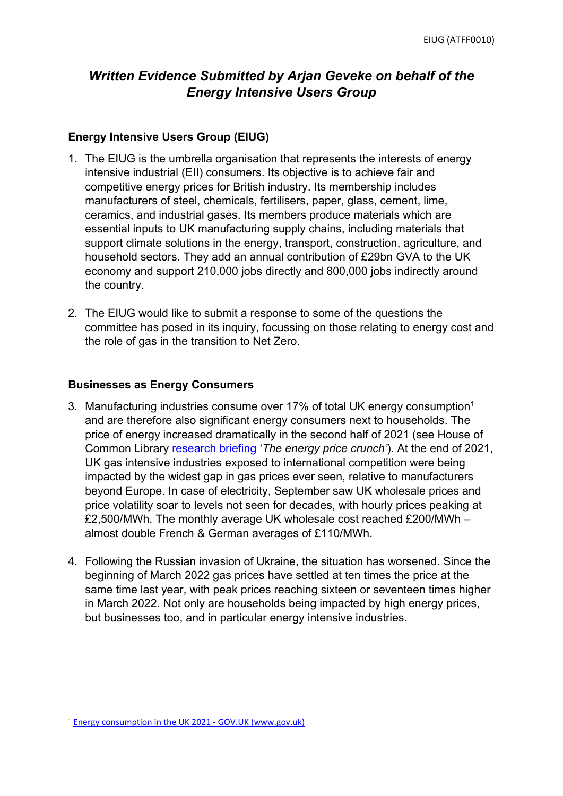# *Written Evidence Submitted by Arjan Geveke on behalf of the Energy Intensive Users Group*

#### **Energy Intensive Users Group (EIUG)**

- 1. The EIUG is the umbrella organisation that represents the interests of energy intensive industrial (EII) consumers. Its objective is to achieve fair and competitive energy prices for British industry. Its membership includes manufacturers of steel, chemicals, fertilisers, paper, glass, cement, lime, ceramics, and industrial gases. Its members produce materials which are essential inputs to UK manufacturing supply chains, including materials that support climate solutions in the energy, transport, construction, agriculture, and household sectors. They add an annual contribution of £29bn GVA to the UK economy and support 210,000 jobs directly and 800,000 jobs indirectly around the country.
- 2. The EIUG would like to submit a response to some of the questions the committee has posed in its inquiry, focussing on those relating to energy cost and the role of gas in the transition to Net Zero.

#### **Businesses as Energy Consumers**

- 3. Manufacturing industries consume over 17% of total UK energy consumption<sup>1</sup> and are therefore also significant energy consumers next to households. The price of energy increased dramatically in the second half of 2021 (see House of Common Library [research](https://commonslibrary.parliament.uk/research-briefings/cbp-9340/) [briefing](https://commonslibrary.parliament.uk/research-briefings/cbp-9340/) '*The energy price crunch'*). At the end of 2021, UK gas intensive industries exposed to international competition were being impacted by the widest gap in gas prices ever seen, relative to manufacturers beyond Europe. In case of electricity, September saw UK wholesale prices and price volatility soar to levels not seen for decades, with hourly prices peaking at £2,500/MWh. The monthly average UK wholesale cost reached £200/MWh – almost double French & German averages of £110/MWh.
- 4. Following the Russian invasion of Ukraine, the situation has worsened. Since the beginning of March 2022 gas prices have settled at ten times the price at the same time last year, with peak prices reaching sixteen or seventeen times higher in March 2022. Not only are households being impacted by high energy prices, but businesses too, and in particular energy intensive industries.

<sup>1</sup> [Energy](https://www.gov.uk/government/statistics/energy-consumption-in-the-uk-2021) [consumption](https://www.gov.uk/government/statistics/energy-consumption-in-the-uk-2021) [in](https://www.gov.uk/government/statistics/energy-consumption-in-the-uk-2021) [the](https://www.gov.uk/government/statistics/energy-consumption-in-the-uk-2021) [UK](https://www.gov.uk/government/statistics/energy-consumption-in-the-uk-2021) [2021](https://www.gov.uk/government/statistics/energy-consumption-in-the-uk-2021) [-](https://www.gov.uk/government/statistics/energy-consumption-in-the-uk-2021) [GOV.UK](https://www.gov.uk/government/statistics/energy-consumption-in-the-uk-2021) [\(www.gov.uk\)](https://www.gov.uk/government/statistics/energy-consumption-in-the-uk-2021)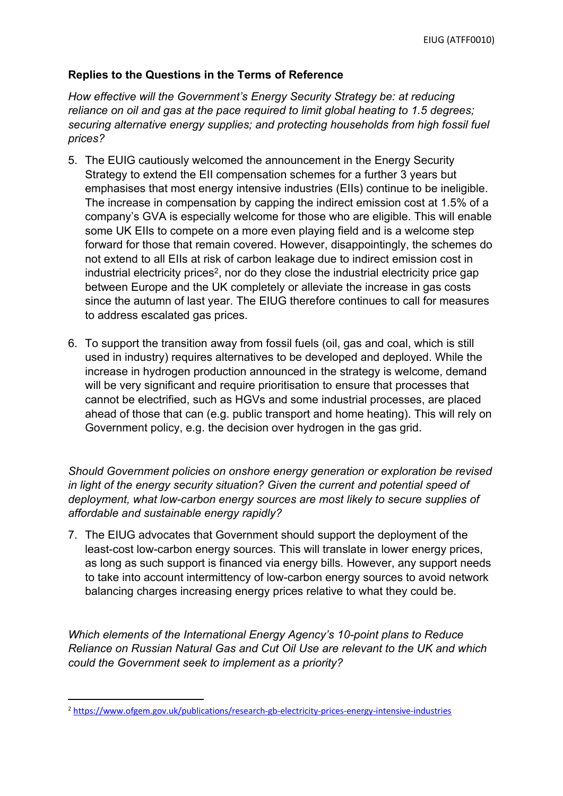## **Replies to the Questions in the Terms of Reference**

*How effective will the Government's Energy Security Strategy be: at reducing reliance on oil and gas at the pace required to limit global heating to 1.5 degrees; securing alternative energy supplies; and protecting households from high fossil fuel prices?*

- 5. The EUIG cautiously welcomed the announcement in the Energy Security Strategy to extend the EII compensation schemes for a further 3 years but emphasises that most energy intensive industries (EIIs) continue to be ineligible. The increase in compensation by capping the indirect emission cost at 1.5% of a company's GVA is especially welcome for those who are eligible. This will enable some UK EIIs to compete on a more even playing field and is a welcome step forward for those that remain covered. However, disappointingly, the schemes do not extend to all EIIs at risk of carbon leakage due to indirect emission cost in industrial electricity prices<sup>2</sup>, nor do they close the industrial electricity price gap between Europe and the UK completely or alleviate the increase in gas costs since the autumn of last year. The EIUG therefore continues to call for measures to address escalated gas prices.
- 6. To support the transition away from fossil fuels (oil, gas and coal, which is still used in industry) requires alternatives to be developed and deployed. While the increase in hydrogen production announced in the strategy is welcome, demand will be very significant and require prioritisation to ensure that processes that cannot be electrified, such as HGVs and some industrial processes, are placed ahead of those that can (e.g. public transport and home heating). This will rely on Government policy, e.g. the decision over hydrogen in the gas grid.

*Should Government policies on onshore energy generation or exploration be revised in light of the energy security situation? Given the current and potential speed of deployment, what low-carbon energy sources are most likely to secure supplies of affordable and sustainable energy rapidly?*

7. The EIUG advocates that Government should support the deployment of the least-cost low-carbon energy sources. This will translate in lower energy prices, as long as such support is financed via energy bills. However, any support needs to take into account intermittency of low-carbon energy sources to avoid network balancing charges increasing energy prices relative to what they could be.

*Which elements of the International Energy Agency's 10-point plans to Reduce Reliance on Russian Natural Gas and Cut Oil Use are relevant to the UK and which could the Government seek to implement as a priority?*

<sup>2</sup> <https://www.ofgem.gov.uk/publications/research-gb-electricity-prices-energy-intensive-industries>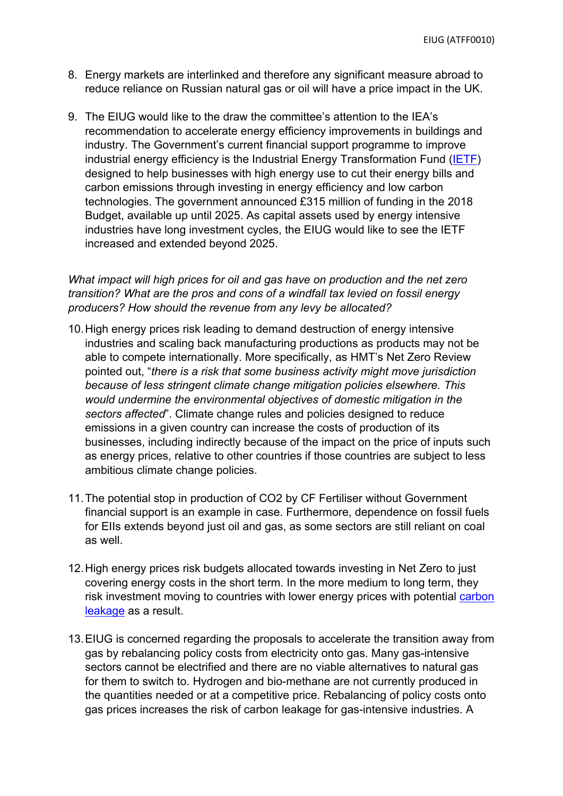- 8. Energy markets are interlinked and therefore any significant measure abroad to reduce reliance on Russian natural gas or oil will have a price impact in the UK.
- 9. The EIUG would like to the draw the committee's attention to the IEA's recommendation to accelerate energy efficiency improvements in buildings and industry. The Government's current financial support programme to improve industrial energy efficiency is the Industrial Energy Transformation Fund ([IETF\)](https://www.gov.uk/government/collections/industrial-energy-transformation-fund) designed to help businesses with high energy use to cut their energy bills and carbon emissions through investing in energy efficiency and low carbon technologies. The government announced £315 million of funding in the 2018 Budget, available up until 2025. As capital assets used by energy intensive industries have long investment cycles, the EIUG would like to see the IETF increased and extended beyond 2025.

*What impact will high prices for oil and gas have on production and the net zero transition? What are the pros and cons of a windfall tax levied on fossil energy producers? How should the revenue from any levy be allocated?*

- 10.High energy prices risk leading to demand destruction of energy intensive industries and scaling back manufacturing productions as products may not be able to compete internationally. More specifically, as HMT's Net Zero Review pointed out, "*there is a risk that some business activity might move jurisdiction because of less stringent climate change mitigation policies elsewhere. This would undermine the environmental objectives of domestic mitigation in the sectors affected*". Climate change rules and policies designed to reduce emissions in a given country can increase the costs of production of its businesses, including indirectly because of the impact on the price of inputs such as energy prices, relative to other countries if those countries are subject to less ambitious climate change policies.
- 11.The potential stop in production of CO2 by CF Fertiliser without Government financial support is an example in case. Furthermore, dependence on fossil fuels for EIIs extends beyond just oil and gas, as some sectors are still reliant on coal as well.
- 12.High energy prices risk budgets allocated towards investing in Net Zero to just covering energy costs in the short term. In the more medium to long term, they risk investment moving to countries with lower energy prices with potential [carbon](https://assets.publishing.service.gov.uk/government/uploads/system/uploads/attachment_data/file/1026725/NZR_-_Final_Report_-_Published_version.pdf) [leakage](https://assets.publishing.service.gov.uk/government/uploads/system/uploads/attachment_data/file/1026725/NZR_-_Final_Report_-_Published_version.pdf) as a result.
- 13.EIUG is concerned regarding the proposals to accelerate the transition away from gas by rebalancing policy costs from electricity onto gas. Many gas-intensive sectors cannot be electrified and there are no viable alternatives to natural gas for them to switch to. Hydrogen and bio-methane are not currently produced in the quantities needed or at a competitive price. Rebalancing of policy costs onto gas prices increases the risk of carbon leakage for gas-intensive industries. A